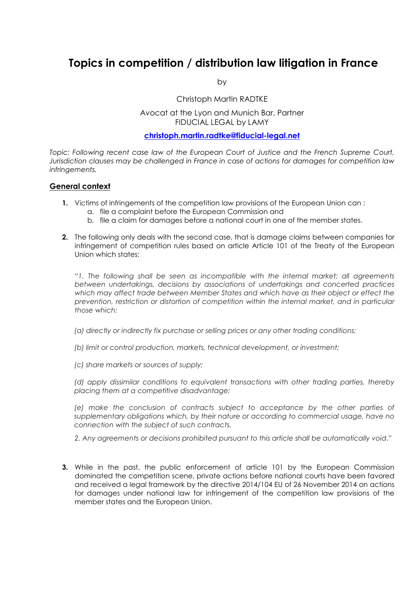# **Topics in competition / distribution law litigation in France**

by

Christoph Martin RADTKE

## Avocat at the Lyon and Munich Bar, Partner FIDUCIAL LEGAL by LAMY

#### **christoph.martin.radtke@fiducial-legal.net**

*Topic: Following recent case law of the European Court of Justice and the French Supreme Court, Jurisdiction clauses may be challenged in France in case of actions for damages for competition law infringements.* 

## **General context**

- **1.** Victims of infringements of the competition law provisions of the European Union can :
	- a. file a complaint before the European Commission and
	- b. file a claim for damages before a national court in one of the member states.
- **2.** The following only deals with the second case, that is damage claims between companies for infringement of competition rules based on article Article 101 of the Treaty of the European Union which states:

"*1. The following shall be seen as incompatible with the internal market: all agreements between undertakings, decisions by associations of undertakings and concerted practices which may affect trade between Member States and which have as their object or effect the prevention, restriction or distortion of competition within the internal market, and in particular those which:* 

*(a) directly or indirectly fix purchase or selling prices or any other trading conditions;* 

*(b) limit or control production, markets, technical development, or investment;* 

*(c) share markets or sources of supply;* 

*(d) apply dissimilar conditions to equivalent transactions with other trading parties, thereby placing them at a competitive disadvantage;* 

*(e) make the conclusion of contracts subject to acceptance by the other parties of supplementary obligations which, by their nature or according to commercial usage, have no connection with the subject of such contracts.* 

*2. Any agreements or decisions prohibited pursuant to this article shall be automatically void*."

**3.** While in the past, the public enforcement of article 101 by the European Commission dominated the competition scene, private actions before national courts have been favored and received a legal framework by the directive 2014/104 EU of 26 November 2014 on actions for damages under national law for infringement of the competition law provisions of the member states and the European Union.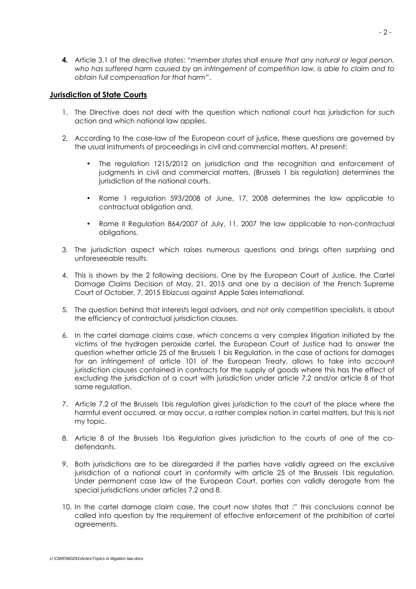**4.** Article 3.1 of the directive states: "*member states shall ensure that any natural or legal person,*  who has suffered harm caused by an infringement of competition law, is able to claim and to *obtain full compensation for that harm*".

#### **Jurisdiction of State Courts**

- 1. The Directive does not deal with the question which national court has jurisdiction for such action and which national law applies.
- 2. According to the case-law of the European court of justice, these questions are governed by the usual instruments of proceedings in civil and commercial matters. At present:
	- The regulation 1215/2012 on jurisdiction and the recognition and enforcement of judgments in civil and commercial matters, (Brussels 1 bis regulation) determines the jurisdiction of the national courts.
	- Rome 1 regulation 593/2008 of June, 17, 2008 determines the law applicable to contractual obligation and,
	- Rome II Regulation 864/2007 of July, 11, 2007 the law applicable to non-contractual obligations.
- 3. The jurisdiction aspect which raises numerous questions and brings often surprising and unforeseeable results.
- 4. This is shown by the 2 following decisions. One by the European Court of Justice, the Cartel Damage Claims Decision of May, 21, 2015 and one by a decision of the French Supreme Court of October, 7, 2015 Ebizcuss against Apple Sales International.
- 5. The question behind that interests legal advisers, and not only competition specialists, is about the efficiency of contractual jurisdiction clauses.
- 6. In the cartel damage claims case, which concerns a very complex litigation initiated by the victims of the hydrogen peroxide cartel, the European Court of Justice had to answer the question whether article 25 of the Brussels 1 bis Regulation, in the case of actions for damages for an infringement of article 101 of the European Treaty, allows to take into account jurisdiction clauses contained in contracts for the supply of goods where this has the effect of excluding the jurisdiction of a court with jurisdiction under article 7.2 and/or article 8 of that same regulation.
- 7. Article 7.2 of the Brussels 1bis regulation gives jurisdiction to the court of the place where the harmful event occurred, or may occur, a rather complex notion in cartel matters, but this is not my topic.
- 8. Article 8 of the Brussels 1bis Regulation gives jurisdiction to the courts of one of the codefendants.
- 9. Both jurisdictions are to be disregarded if the parties have validly agreed on the exclusive jurisdiction of a national court in conformity with article 25 of the Brussels 1bis regulation. Under permanent case law of the European Court, parties can validly derogate from the special jurisdictions under articles 7.2 and 8.
- 10. In the cartel damage claim case, the court now states that :" this conclusions cannot be called into question by the requirement of effective enforcement of the prohibition of cartel agreements.